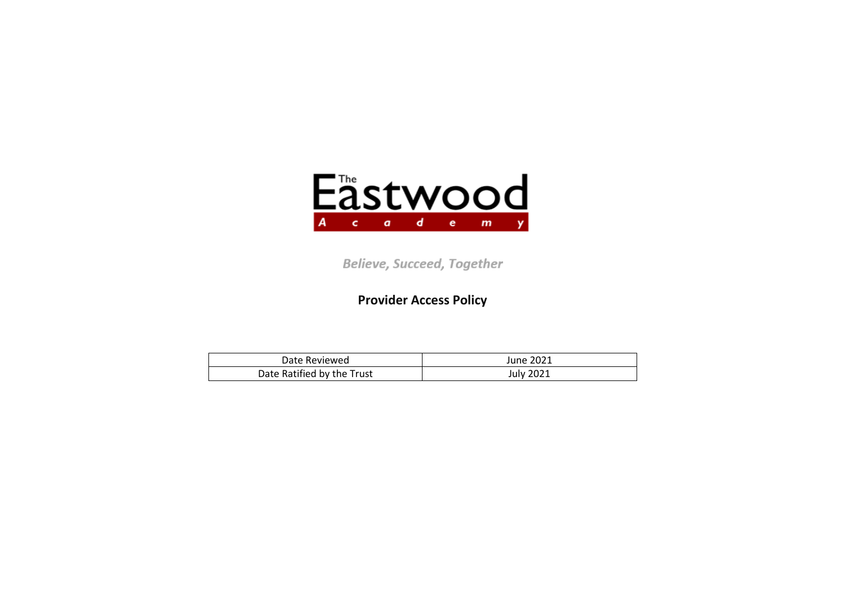

**Believe, Succeed, Together** 

**Provider Access Policy**

| Date Reviewed              | June 2021 |
|----------------------------|-----------|
| Date Ratified by the Trust | July 2021 |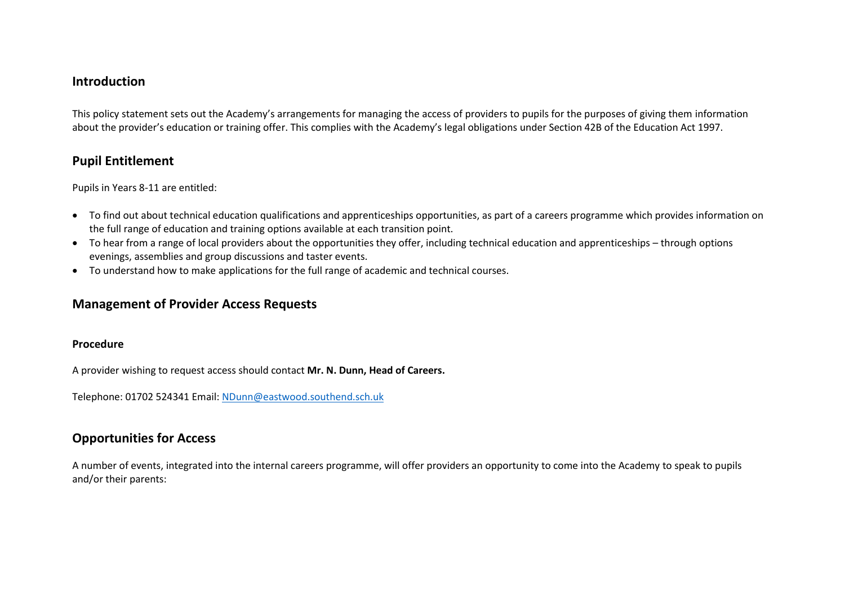### **Introduction**

This policy statement sets out the Academy's arrangements for managing the access of providers to pupils for the purposes of giving them information about the provider's education or training offer. This complies with the Academy's legal obligations under Section 42B of the Education Act 1997.

## **Pupil Entitlement**

Pupils in Years 8-11 are entitled:

- To find out about technical education qualifications and apprenticeships opportunities, as part of a careers programme which provides information on the full range of education and training options available at each transition point.
- To hear from a range of local providers about the opportunities they offer, including technical education and apprenticeships through options evenings, assemblies and group discussions and taster events.
- To understand how to make applications for the full range of academic and technical courses.

# **Management of Provider Access Requests**

#### **Procedure**

A provider wishing to request access should contact **Mr. N. Dunn, Head of Careers.**

Telephone: 01702 524341 Email: [NDunn@eastwood.southend.sch.uk](mailto:NDunn@eastwood.southend.sch.uk)

# **Opportunities for Access**

A number of events, integrated into the internal careers programme, will offer providers an opportunity to come into the Academy to speak to pupils and/or their parents: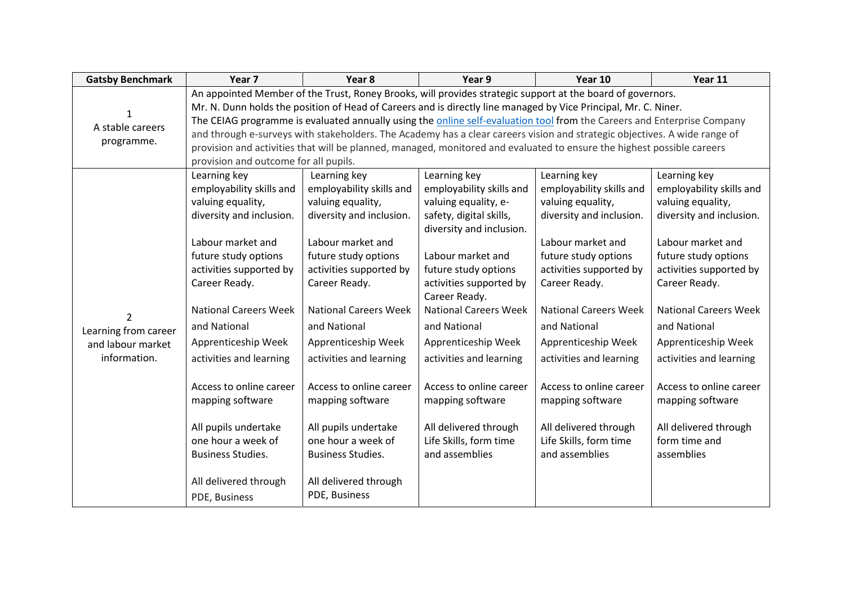| <b>Gatsby Benchmark</b> | Year <sub>7</sub>                                                                                          | Year <sub>8</sub>                                                                                                         | Year 9                                        | Year 10                      | Year 11                      |  |
|-------------------------|------------------------------------------------------------------------------------------------------------|---------------------------------------------------------------------------------------------------------------------------|-----------------------------------------------|------------------------------|------------------------------|--|
|                         | An appointed Member of the Trust, Roney Brooks, will provides strategic support at the board of governors. |                                                                                                                           |                                               |                              |                              |  |
|                         |                                                                                                            | Mr. N. Dunn holds the position of Head of Careers and is directly line managed by Vice Principal, Mr. C. Niner.           |                                               |                              |                              |  |
| A stable careers        |                                                                                                            | The CEIAG programme is evaluated annually using the online self-evaluation tool from the Careers and Enterprise Company   |                                               |                              |                              |  |
| programme.              |                                                                                                            | and through e-surveys with stakeholders. The Academy has a clear careers vision and strategic objectives. A wide range of |                                               |                              |                              |  |
|                         |                                                                                                            | provision and activities that will be planned, managed, monitored and evaluated to ensure the highest possible careers    |                                               |                              |                              |  |
|                         | provision and outcome for all pupils.                                                                      |                                                                                                                           |                                               |                              |                              |  |
|                         | Learning key                                                                                               | Learning key                                                                                                              | Learning key                                  | Learning key                 | Learning key                 |  |
|                         | employability skills and                                                                                   | employability skills and                                                                                                  | employability skills and                      | employability skills and     | employability skills and     |  |
|                         | valuing equality,                                                                                          | valuing equality,                                                                                                         | valuing equality, e-                          | valuing equality,            | valuing equality,            |  |
|                         | diversity and inclusion.                                                                                   | diversity and inclusion.                                                                                                  | safety, digital skills,                       | diversity and inclusion.     | diversity and inclusion.     |  |
|                         |                                                                                                            |                                                                                                                           | diversity and inclusion.                      |                              |                              |  |
|                         | Labour market and                                                                                          | Labour market and                                                                                                         |                                               | Labour market and            | Labour market and            |  |
|                         | future study options                                                                                       | future study options                                                                                                      | Labour market and                             | future study options         | future study options         |  |
|                         | activities supported by                                                                                    | activities supported by                                                                                                   | future study options                          | activities supported by      | activities supported by      |  |
|                         | Career Ready.                                                                                              | Career Ready.                                                                                                             | activities supported by                       | Career Ready.                | Career Ready.                |  |
|                         | <b>National Careers Week</b>                                                                               | <b>National Careers Week</b>                                                                                              | Career Ready.<br><b>National Careers Week</b> | <b>National Careers Week</b> | <b>National Careers Week</b> |  |
| $\overline{2}$          |                                                                                                            |                                                                                                                           |                                               |                              |                              |  |
| Learning from career    | and National                                                                                               | and National                                                                                                              | and National                                  | and National                 | and National                 |  |
| and labour market       | Apprenticeship Week                                                                                        | Apprenticeship Week                                                                                                       | Apprenticeship Week                           | Apprenticeship Week          | Apprenticeship Week          |  |
| information.            | activities and learning                                                                                    | activities and learning                                                                                                   | activities and learning                       | activities and learning      | activities and learning      |  |
|                         |                                                                                                            |                                                                                                                           |                                               |                              |                              |  |
|                         | Access to online career                                                                                    | Access to online career                                                                                                   | Access to online career                       | Access to online career      | Access to online career      |  |
|                         | mapping software                                                                                           | mapping software                                                                                                          | mapping software                              | mapping software             | mapping software             |  |
|                         |                                                                                                            |                                                                                                                           |                                               |                              |                              |  |
|                         | All pupils undertake                                                                                       | All pupils undertake                                                                                                      | All delivered through                         | All delivered through        | All delivered through        |  |
|                         | one hour a week of                                                                                         | one hour a week of                                                                                                        | Life Skills, form time                        | Life Skills, form time       | form time and                |  |
|                         | <b>Business Studies.</b>                                                                                   | <b>Business Studies.</b>                                                                                                  | and assemblies                                | and assemblies               | assemblies                   |  |
|                         |                                                                                                            |                                                                                                                           |                                               |                              |                              |  |
|                         | All delivered through                                                                                      | All delivered through                                                                                                     |                                               |                              |                              |  |
|                         | PDE, Business                                                                                              | PDE, Business                                                                                                             |                                               |                              |                              |  |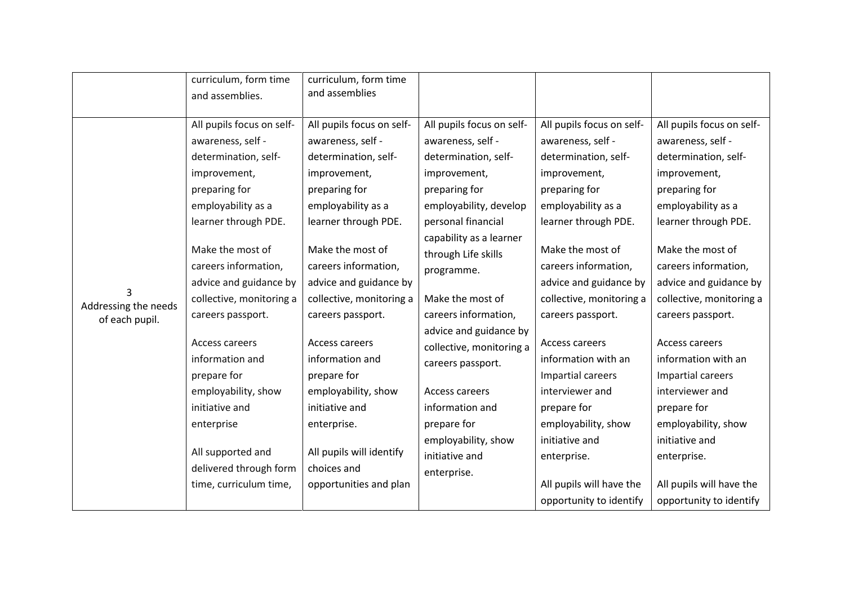|                                             | curriculum, form time<br>and assemblies.                                                                                                                                                                                                                                                                                                                                                                                                                         | curriculum, form time<br>and assemblies                                                                                                                                                                                                                                                                                                                                                                                                                       |                                                                                                                                                                                                                                                                                                                                                                                                                                                            |                                                                                                                                                                                                                                                                                                                                                                                                                                                                                             |                                                                                                                                                                                                                                                                                                                                                                                                                                                                                             |
|---------------------------------------------|------------------------------------------------------------------------------------------------------------------------------------------------------------------------------------------------------------------------------------------------------------------------------------------------------------------------------------------------------------------------------------------------------------------------------------------------------------------|---------------------------------------------------------------------------------------------------------------------------------------------------------------------------------------------------------------------------------------------------------------------------------------------------------------------------------------------------------------------------------------------------------------------------------------------------------------|------------------------------------------------------------------------------------------------------------------------------------------------------------------------------------------------------------------------------------------------------------------------------------------------------------------------------------------------------------------------------------------------------------------------------------------------------------|---------------------------------------------------------------------------------------------------------------------------------------------------------------------------------------------------------------------------------------------------------------------------------------------------------------------------------------------------------------------------------------------------------------------------------------------------------------------------------------------|---------------------------------------------------------------------------------------------------------------------------------------------------------------------------------------------------------------------------------------------------------------------------------------------------------------------------------------------------------------------------------------------------------------------------------------------------------------------------------------------|
| 3<br>Addressing the needs<br>of each pupil. | All pupils focus on self-<br>awareness, self -<br>determination, self-<br>improvement,<br>preparing for<br>employability as a<br>learner through PDE.<br>Make the most of<br>careers information,<br>advice and guidance by<br>collective, monitoring a<br>careers passport.<br>Access careers<br>information and<br>prepare for<br>employability, show<br>initiative and<br>enterprise<br>All supported and<br>delivered through form<br>time, curriculum time, | All pupils focus on self-<br>awareness, self -<br>determination, self-<br>improvement,<br>preparing for<br>employability as a<br>learner through PDE.<br>Make the most of<br>careers information,<br>advice and guidance by<br>collective, monitoring a<br>careers passport.<br>Access careers<br>information and<br>prepare for<br>employability, show<br>initiative and<br>enterprise.<br>All pupils will identify<br>choices and<br>opportunities and plan | All pupils focus on self-<br>awareness, self -<br>determination, self-<br>improvement,<br>preparing for<br>employability, develop<br>personal financial<br>capability as a learner<br>through Life skills<br>programme.<br>Make the most of<br>careers information,<br>advice and guidance by<br>collective, monitoring a<br>careers passport.<br>Access careers<br>information and<br>prepare for<br>employability, show<br>initiative and<br>enterprise. | All pupils focus on self-<br>awareness, self -<br>determination, self-<br>improvement,<br>preparing for<br>employability as a<br>learner through PDE.<br>Make the most of<br>careers information,<br>advice and guidance by<br>collective, monitoring a<br>careers passport.<br>Access careers<br>information with an<br>Impartial careers<br>interviewer and<br>prepare for<br>employability, show<br>initiative and<br>enterprise.<br>All pupils will have the<br>opportunity to identify | All pupils focus on self-<br>awareness, self -<br>determination, self-<br>improvement,<br>preparing for<br>employability as a<br>learner through PDE.<br>Make the most of<br>careers information,<br>advice and guidance by<br>collective, monitoring a<br>careers passport.<br>Access careers<br>information with an<br>Impartial careers<br>interviewer and<br>prepare for<br>employability, show<br>initiative and<br>enterprise.<br>All pupils will have the<br>opportunity to identify |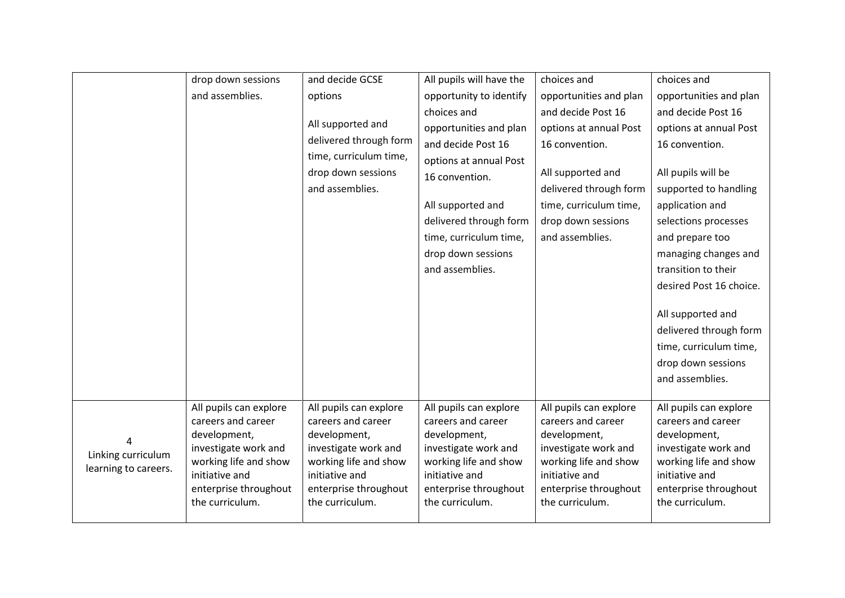|                         | drop down sessions                                           | and decide GCSE                                              | All pupils will have the                                     | choices and                                                  | choices and                                                  |
|-------------------------|--------------------------------------------------------------|--------------------------------------------------------------|--------------------------------------------------------------|--------------------------------------------------------------|--------------------------------------------------------------|
|                         | and assemblies.                                              | options                                                      | opportunity to identify                                      | opportunities and plan                                       | opportunities and plan                                       |
|                         |                                                              |                                                              | choices and                                                  | and decide Post 16                                           | and decide Post 16                                           |
|                         |                                                              | All supported and                                            | opportunities and plan                                       | options at annual Post                                       | options at annual Post                                       |
|                         |                                                              | delivered through form                                       | and decide Post 16                                           | 16 convention.                                               | 16 convention.                                               |
|                         |                                                              | time, curriculum time,                                       | options at annual Post                                       |                                                              |                                                              |
|                         |                                                              | drop down sessions                                           | 16 convention.                                               | All supported and                                            | All pupils will be                                           |
|                         |                                                              | and assemblies.                                              |                                                              | delivered through form                                       | supported to handling                                        |
|                         |                                                              |                                                              | All supported and                                            | time, curriculum time,                                       | application and                                              |
|                         |                                                              |                                                              | delivered through form                                       | drop down sessions                                           | selections processes                                         |
|                         |                                                              |                                                              | time, curriculum time,                                       | and assemblies.                                              | and prepare too                                              |
|                         |                                                              |                                                              | drop down sessions                                           |                                                              | managing changes and                                         |
|                         |                                                              |                                                              | and assemblies.                                              |                                                              | transition to their                                          |
|                         |                                                              |                                                              |                                                              |                                                              | desired Post 16 choice.                                      |
|                         |                                                              |                                                              |                                                              |                                                              |                                                              |
|                         |                                                              |                                                              |                                                              |                                                              | All supported and                                            |
|                         |                                                              |                                                              |                                                              |                                                              | delivered through form                                       |
|                         |                                                              |                                                              |                                                              |                                                              | time, curriculum time,                                       |
|                         |                                                              |                                                              |                                                              |                                                              | drop down sessions                                           |
|                         |                                                              |                                                              |                                                              |                                                              | and assemblies.                                              |
|                         |                                                              |                                                              |                                                              |                                                              |                                                              |
|                         | All pupils can explore<br>careers and career<br>development, | All pupils can explore<br>careers and career<br>development, | All pupils can explore<br>careers and career<br>development, | All pupils can explore<br>careers and career<br>development, | All pupils can explore<br>careers and career<br>development, |
| 4<br>Linking curriculum | investigate work and<br>working life and show                | investigate work and<br>working life and show                | investigate work and<br>working life and show                | investigate work and<br>working life and show                | investigate work and<br>working life and show                |
| learning to careers.    | initiative and<br>enterprise throughout                      | initiative and<br>enterprise throughout                      | initiative and<br>enterprise throughout                      | initiative and<br>enterprise throughout                      | initiative and<br>enterprise throughout                      |
|                         | the curriculum.                                              | the curriculum.                                              | the curriculum.                                              | the curriculum.                                              | the curriculum.                                              |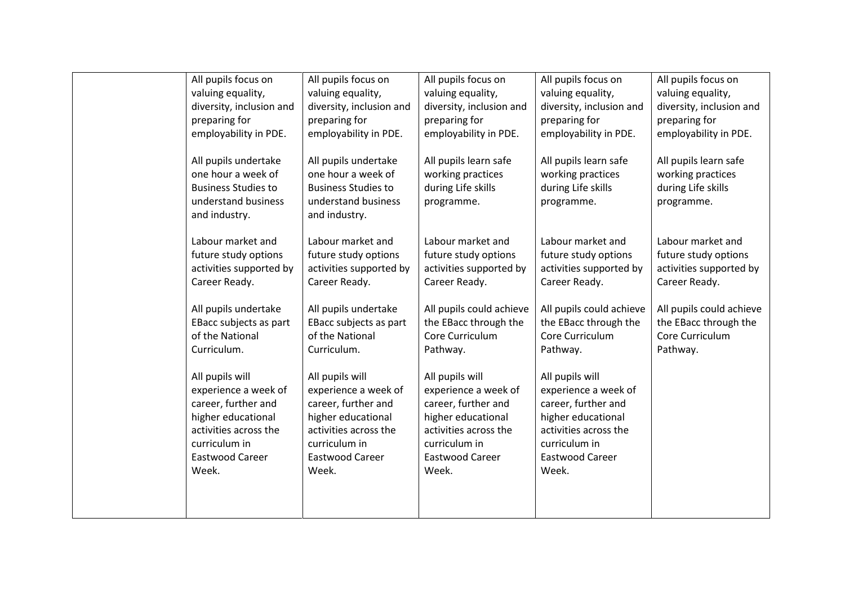| All pupils focus on                                                                                                                                        | All pupils focus on                                                                                                                                        | All pupils focus on                                                                                                                                        | All pupils focus on                                                                                                                                        | All pupils focus on                                                            |
|------------------------------------------------------------------------------------------------------------------------------------------------------------|------------------------------------------------------------------------------------------------------------------------------------------------------------|------------------------------------------------------------------------------------------------------------------------------------------------------------|------------------------------------------------------------------------------------------------------------------------------------------------------------|--------------------------------------------------------------------------------|
| valuing equality,                                                                                                                                          | valuing equality,                                                                                                                                          | valuing equality,                                                                                                                                          | valuing equality,                                                                                                                                          | valuing equality,                                                              |
| diversity, inclusion and                                                                                                                                   | diversity, inclusion and                                                                                                                                   | diversity, inclusion and                                                                                                                                   | diversity, inclusion and                                                                                                                                   | diversity, inclusion and                                                       |
| preparing for                                                                                                                                              | preparing for                                                                                                                                              | preparing for                                                                                                                                              | preparing for                                                                                                                                              | preparing for                                                                  |
| employability in PDE.                                                                                                                                      | employability in PDE.                                                                                                                                      | employability in PDE.                                                                                                                                      | employability in PDE.                                                                                                                                      | employability in PDE.                                                          |
| All pupils undertake<br>one hour a week of<br><b>Business Studies to</b><br>understand business<br>and industry.                                           | All pupils undertake<br>one hour a week of<br><b>Business Studies to</b><br>understand business<br>and industry.                                           | All pupils learn safe<br>working practices<br>during Life skills<br>programme.                                                                             | All pupils learn safe<br>working practices<br>during Life skills<br>programme.                                                                             | All pupils learn safe<br>working practices<br>during Life skills<br>programme. |
| Labour market and                                                                                                                                          | Labour market and                                                                                                                                          | Labour market and                                                                                                                                          | Labour market and                                                                                                                                          | Labour market and                                                              |
| future study options                                                                                                                                       | future study options                                                                                                                                       | future study options                                                                                                                                       | future study options                                                                                                                                       | future study options                                                           |
| activities supported by                                                                                                                                    | activities supported by                                                                                                                                    | activities supported by                                                                                                                                    | activities supported by                                                                                                                                    | activities supported by                                                        |
| Career Ready.                                                                                                                                              | Career Ready.                                                                                                                                              | Career Ready.                                                                                                                                              | Career Ready.                                                                                                                                              | Career Ready.                                                                  |
| All pupils undertake                                                                                                                                       | All pupils undertake                                                                                                                                       | All pupils could achieve                                                                                                                                   | All pupils could achieve                                                                                                                                   | All pupils could achieve                                                       |
| EBacc subjects as part                                                                                                                                     | EBacc subjects as part                                                                                                                                     | the EBacc through the                                                                                                                                      | the EBacc through the                                                                                                                                      | the EBacc through the                                                          |
| of the National                                                                                                                                            | of the National                                                                                                                                            | Core Curriculum                                                                                                                                            | Core Curriculum                                                                                                                                            | Core Curriculum                                                                |
| Curriculum.                                                                                                                                                | Curriculum.                                                                                                                                                | Pathway.                                                                                                                                                   | Pathway.                                                                                                                                                   | Pathway.                                                                       |
| All pupils will<br>experience a week of<br>career, further and<br>higher educational<br>activities across the<br>curriculum in<br>Eastwood Career<br>Week. | All pupils will<br>experience a week of<br>career, further and<br>higher educational<br>activities across the<br>curriculum in<br>Eastwood Career<br>Week. | All pupils will<br>experience a week of<br>career, further and<br>higher educational<br>activities across the<br>curriculum in<br>Eastwood Career<br>Week. | All pupils will<br>experience a week of<br>career, further and<br>higher educational<br>activities across the<br>curriculum in<br>Eastwood Career<br>Week. |                                                                                |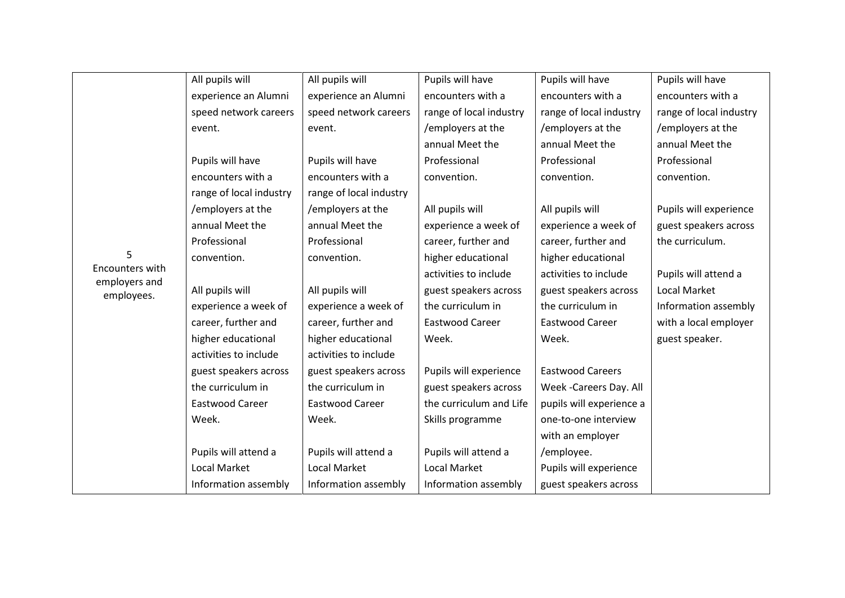|                             | All pupils will         | All pupils will         | Pupils will have        | Pupils will have         | Pupils will have        |
|-----------------------------|-------------------------|-------------------------|-------------------------|--------------------------|-------------------------|
|                             | experience an Alumni    | experience an Alumni    | encounters with a       | encounters with a        | encounters with a       |
|                             | speed network careers   | speed network careers   | range of local industry | range of local industry  | range of local industry |
|                             | event.                  | event.                  | /employers at the       | /employers at the        | /employers at the       |
|                             |                         |                         | annual Meet the         | annual Meet the          | annual Meet the         |
|                             | Pupils will have        | Pupils will have        | Professional            | Professional             | Professional            |
|                             | encounters with a       | encounters with a       | convention.             | convention.              | convention.             |
|                             | range of local industry | range of local industry |                         |                          |                         |
|                             | /employers at the       | /employers at the       | All pupils will         | All pupils will          | Pupils will experience  |
|                             | annual Meet the         | annual Meet the         | experience a week of    | experience a week of     | guest speakers across   |
|                             | Professional            | Professional            | career, further and     | career, further and      | the curriculum.         |
| 5                           | convention.             | convention.             | higher educational      | higher educational       |                         |
| Encounters with             |                         |                         | activities to include   | activities to include    | Pupils will attend a    |
| employers and<br>employees. | All pupils will         | All pupils will         | guest speakers across   | guest speakers across    | Local Market            |
|                             | experience a week of    | experience a week of    | the curriculum in       | the curriculum in        | Information assembly    |
|                             | career, further and     | career, further and     | Eastwood Career         | Eastwood Career          | with a local employer   |
|                             | higher educational      | higher educational      | Week.                   | Week.                    | guest speaker.          |
|                             | activities to include   | activities to include   |                         |                          |                         |
|                             | guest speakers across   | guest speakers across   | Pupils will experience  | <b>Eastwood Careers</b>  |                         |
|                             | the curriculum in       | the curriculum in       | guest speakers across   | Week - Careers Day. All  |                         |
|                             | Eastwood Career         | Eastwood Career         | the curriculum and Life | pupils will experience a |                         |
|                             | Week.                   | Week.                   | Skills programme        | one-to-one interview     |                         |
|                             |                         |                         |                         | with an employer         |                         |
|                             | Pupils will attend a    | Pupils will attend a    | Pupils will attend a    | /employee.               |                         |
|                             | <b>Local Market</b>     | <b>Local Market</b>     | Local Market            | Pupils will experience   |                         |
|                             | Information assembly    | Information assembly    | Information assembly    | guest speakers across    |                         |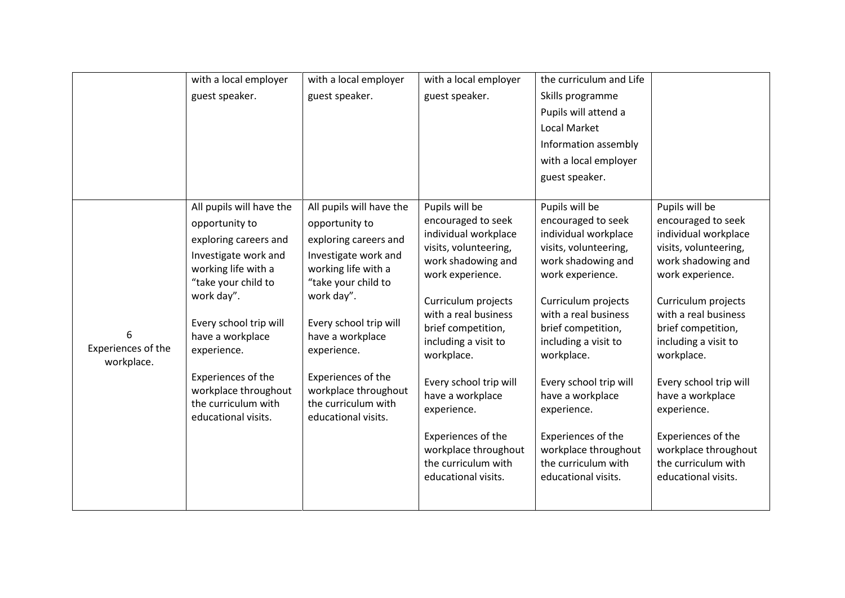|                                  | with a local employer                      | with a local employer                      | with a local employer                       | the curriculum and Life                     |                                             |
|----------------------------------|--------------------------------------------|--------------------------------------------|---------------------------------------------|---------------------------------------------|---------------------------------------------|
|                                  | guest speaker.                             | guest speaker.                             | guest speaker.                              | Skills programme                            |                                             |
|                                  |                                            |                                            |                                             | Pupils will attend a                        |                                             |
|                                  |                                            |                                            |                                             | <b>Local Market</b>                         |                                             |
|                                  |                                            |                                            |                                             | Information assembly                        |                                             |
|                                  |                                            |                                            |                                             | with a local employer                       |                                             |
|                                  |                                            |                                            |                                             | guest speaker.                              |                                             |
|                                  |                                            |                                            |                                             |                                             |                                             |
|                                  | All pupils will have the                   | All pupils will have the                   | Pupils will be                              | Pupils will be                              | Pupils will be                              |
|                                  | opportunity to                             | opportunity to                             | encouraged to seek<br>individual workplace  | encouraged to seek<br>individual workplace  | encouraged to seek<br>individual workplace  |
|                                  | exploring careers and                      | exploring careers and                      | visits, volunteering,                       | visits, volunteering,                       | visits, volunteering,                       |
|                                  | Investigate work and                       | Investigate work and                       | work shadowing and                          | work shadowing and                          | work shadowing and                          |
|                                  | working life with a<br>"take your child to | working life with a<br>"take your child to | work experience.                            | work experience.                            | work experience.                            |
|                                  | work day".                                 | work day".                                 |                                             |                                             |                                             |
|                                  |                                            |                                            | Curriculum projects<br>with a real business | Curriculum projects<br>with a real business | Curriculum projects<br>with a real business |
|                                  | Every school trip will                     | Every school trip will                     | brief competition,                          | brief competition,                          | brief competition,                          |
| 6                                | have a workplace                           | have a workplace                           | including a visit to                        | including a visit to                        | including a visit to                        |
| Experiences of the<br>workplace. | experience.                                | experience.                                | workplace.                                  | workplace.                                  | workplace.                                  |
|                                  | Experiences of the                         | Experiences of the                         |                                             |                                             |                                             |
|                                  | workplace throughout                       | workplace throughout                       | Every school trip will                      | Every school trip will                      | Every school trip will                      |
|                                  | the curriculum with                        | the curriculum with                        | have a workplace<br>experience.             | have a workplace<br>experience.             | have a workplace<br>experience.             |
|                                  | educational visits.                        | educational visits.                        |                                             |                                             |                                             |
|                                  |                                            |                                            | Experiences of the                          | Experiences of the                          | Experiences of the                          |
|                                  |                                            |                                            | workplace throughout                        | workplace throughout                        | workplace throughout                        |
|                                  |                                            |                                            | the curriculum with                         | the curriculum with                         | the curriculum with                         |
|                                  |                                            |                                            | educational visits.                         | educational visits.                         | educational visits.                         |
|                                  |                                            |                                            |                                             |                                             |                                             |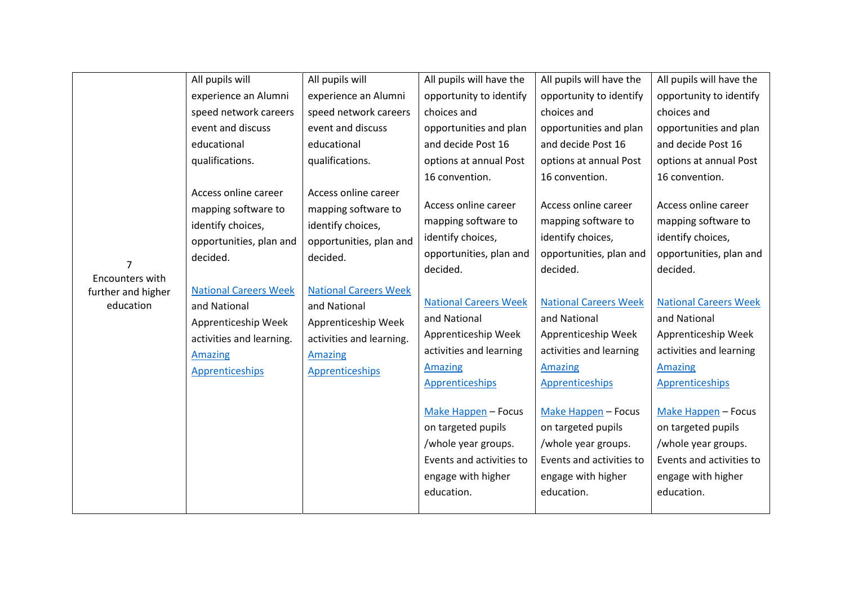|                                   | All pupils will              | All pupils will              | All pupils will have the     | All pupils will have the     | All pupils will have the     |
|-----------------------------------|------------------------------|------------------------------|------------------------------|------------------------------|------------------------------|
|                                   | experience an Alumni         | experience an Alumni         | opportunity to identify      | opportunity to identify      | opportunity to identify      |
|                                   | speed network careers        | speed network careers        | choices and                  | choices and                  | choices and                  |
|                                   | event and discuss            | event and discuss            | opportunities and plan       | opportunities and plan       | opportunities and plan       |
|                                   | educational                  | educational                  | and decide Post 16           | and decide Post 16           | and decide Post 16           |
|                                   | qualifications.              | qualifications.              | options at annual Post       | options at annual Post       | options at annual Post       |
|                                   |                              |                              | 16 convention.               | 16 convention.               | 16 convention.               |
|                                   | Access online career         | Access online career         |                              |                              |                              |
|                                   | mapping software to          | mapping software to          | Access online career         | Access online career         | Access online career         |
|                                   | identify choices,            | identify choices,            | mapping software to          | mapping software to          | mapping software to          |
|                                   | opportunities, plan and      | opportunities, plan and      | identify choices,            | identify choices,            | identify choices,            |
|                                   | decided.                     | decided.                     | opportunities, plan and      | opportunities, plan and      | opportunities, plan and      |
| $\overline{7}$<br>Encounters with |                              |                              | decided.                     | decided.                     | decided.                     |
| further and higher                | <b>National Careers Week</b> | <b>National Careers Week</b> |                              |                              |                              |
| education                         | and National                 | and National                 | <b>National Careers Week</b> | <b>National Careers Week</b> | <b>National Careers Week</b> |
|                                   | Apprenticeship Week          | Apprenticeship Week          | and National                 | and National                 | and National                 |
|                                   | activities and learning.     | activities and learning.     | Apprenticeship Week          | Apprenticeship Week          | Apprenticeship Week          |
|                                   | <b>Amazing</b>               | <b>Amazing</b>               | activities and learning      | activities and learning      | activities and learning      |
|                                   | <b>Apprenticeships</b>       | <b>Apprenticeships</b>       | <b>Amazing</b>               | <b>Amazing</b>               | <b>Amazing</b>               |
|                                   |                              |                              | <b>Apprenticeships</b>       | <b>Apprenticeships</b>       | <b>Apprenticeships</b>       |
|                                   |                              |                              |                              |                              |                              |
|                                   |                              |                              | Make Happen - Focus          | Make Happen - Focus          | Make Happen - Focus          |
|                                   |                              |                              | on targeted pupils           | on targeted pupils           | on targeted pupils           |
|                                   |                              |                              | /whole year groups.          | /whole year groups.          | /whole year groups.          |
|                                   |                              |                              | Events and activities to     | Events and activities to     | Events and activities to     |
|                                   |                              |                              | engage with higher           | engage with higher           | engage with higher           |
|                                   |                              |                              | education.                   | education.                   | education.                   |
|                                   |                              |                              |                              |                              |                              |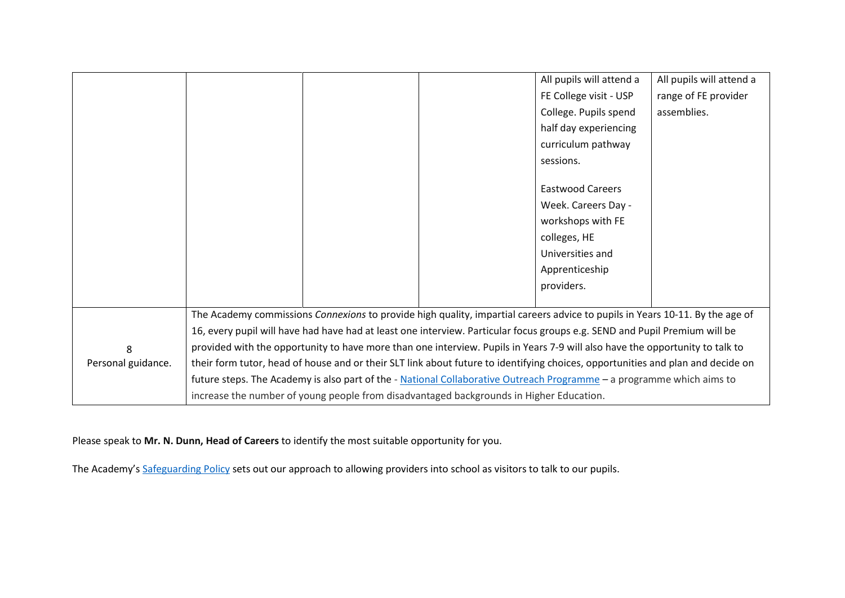|                    |  |                                                                                                                                 | All pupils will attend a | All pupils will attend a |
|--------------------|--|---------------------------------------------------------------------------------------------------------------------------------|--------------------------|--------------------------|
|                    |  |                                                                                                                                 | FE College visit - USP   | range of FE provider     |
|                    |  |                                                                                                                                 | College. Pupils spend    | assemblies.              |
|                    |  |                                                                                                                                 | half day experiencing    |                          |
|                    |  |                                                                                                                                 | curriculum pathway       |                          |
|                    |  |                                                                                                                                 | sessions.                |                          |
|                    |  |                                                                                                                                 |                          |                          |
|                    |  |                                                                                                                                 | <b>Eastwood Careers</b>  |                          |
|                    |  |                                                                                                                                 | Week. Careers Day -      |                          |
|                    |  |                                                                                                                                 | workshops with FE        |                          |
|                    |  |                                                                                                                                 | colleges, HE             |                          |
|                    |  |                                                                                                                                 | Universities and         |                          |
|                    |  |                                                                                                                                 | Apprenticeship           |                          |
|                    |  |                                                                                                                                 | providers.               |                          |
|                    |  |                                                                                                                                 |                          |                          |
|                    |  | The Academy commissions Connexions to provide high quality, impartial careers advice to pupils in Years 10-11. By the age of    |                          |                          |
|                    |  | 16, every pupil will have had have had at least one interview. Particular focus groups e.g. SEND and Pupil Premium will be      |                          |                          |
| 8                  |  | provided with the opportunity to have more than one interview. Pupils in Years 7-9 will also have the opportunity to talk to    |                          |                          |
| Personal guidance. |  | their form tutor, head of house and or their SLT link about future to identifying choices, opportunities and plan and decide on |                          |                          |
|                    |  | future steps. The Academy is also part of the - National Collaborative Outreach Programme - a programme which aims to           |                          |                          |
|                    |  | increase the number of young people from disadvantaged backgrounds in Higher Education.                                         |                          |                          |

Please speak to **Mr. N. Dunn, Head of Careers** to identify the most suitable opportunity for you.

The Academy's [Safeguarding Policy](http://eastwoodacademy.co.uk/docs/EPAT%20Safeguarding%20Policy%2018.pdf) sets out our approach to allowing providers into school as visitors to talk to our pupils.